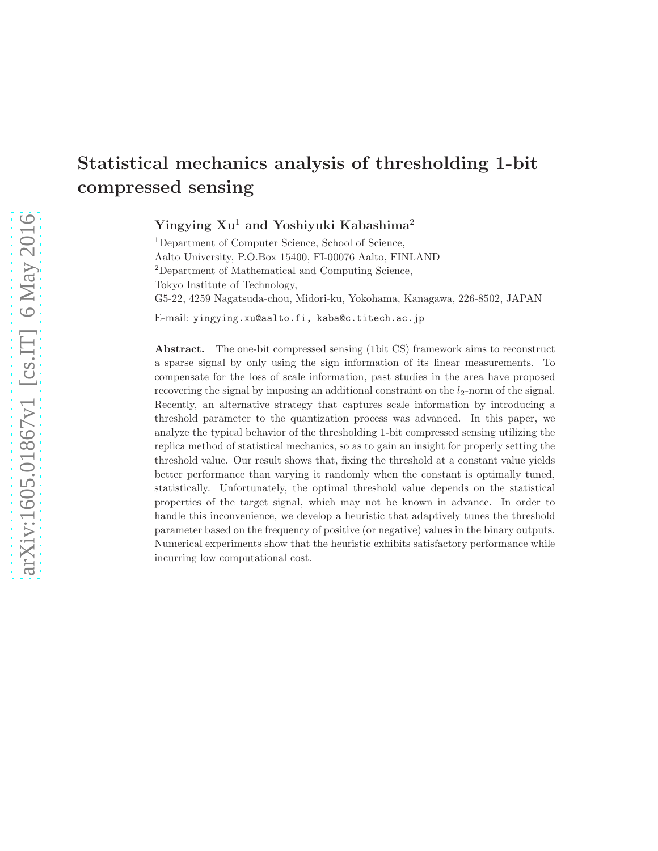# Statistical mechanics analysis of thresholding 1-bit compressed sensing

Yingying Xu<sup>1</sup> and Yoshiyuki Kabashima<sup>2</sup>

<sup>1</sup>Department of Computer Science, School of Science, Aalto University, P.O.Box 15400, FI-00076 Aalto, FINLAND <sup>2</sup>Department of Mathematical and Computing Science, Tokyo Institute of Technology, G5-22, 4259 Nagatsuda-chou, Midori-ku, Yokohama, Kanagawa, 226-8502, JAPAN

E-mail: yingying.xu@aalto.fi, kaba@c.titech.ac.jp

Abstract. The one-bit compressed sensing (1bit CS) framework aims to reconstruct a sparse signal by only using the sign information of its linear measurements. To compensate for the loss of scale information, past studies in the area have proposed recovering the signal by imposing an additional constraint on the  $l_2$ -norm of the signal. Recently, an alternative strategy that captures scale information by introducing a threshold parameter to the quantization process was advanced. In this paper, we analyze the typical behavior of the thresholding 1-bit compressed sensing utilizing the replica method of statistical mechanics, so as to gain an insight for properly setting the threshold value. Our result shows that, fixing the threshold at a constant value yields better performance than varying it randomly when the constant is optimally tuned, statistically. Unfortunately, the optimal threshold value depends on the statistical properties of the target signal, which may not be known in advance. In order to handle this inconvenience, we develop a heuristic that adaptively tunes the threshold parameter based on the frequency of positive (or negative) values in the binary outputs. Numerical experiments show that the heuristic exhibits satisfactory performance while incurring low computational cost.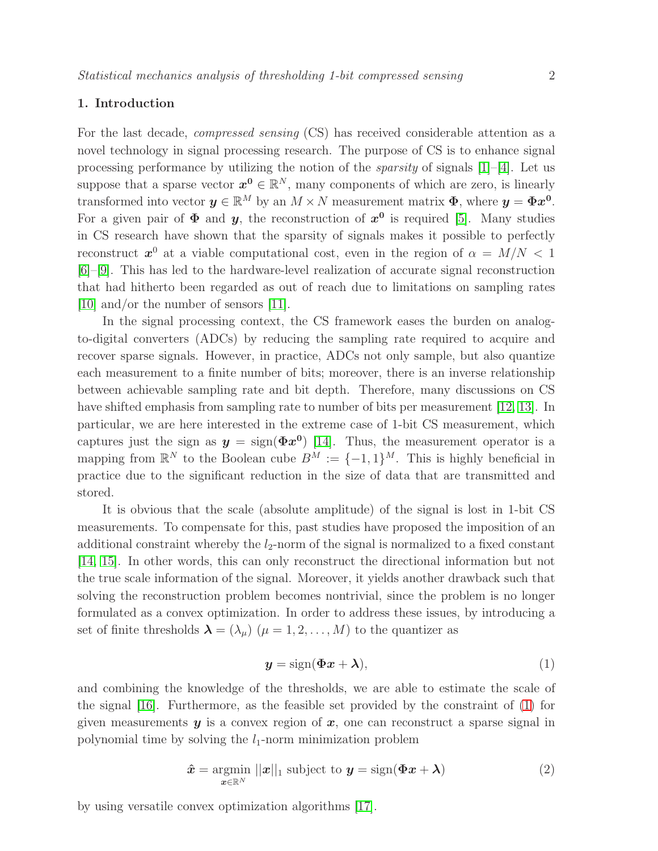## 1. Introduction

For the last decade, compressed sensing (CS) has received considerable attention as a novel technology in signal processing research. The purpose of CS is to enhance signal processing performance by utilizing the notion of the *sparsity* of signals  $[1]-[4]$  $[1]-[4]$ . Let us suppose that a sparse vector  $x^0 \in \mathbb{R}^N$ , many components of which are zero, is linearly transformed into vector  $y \in \mathbb{R}^M$  by an  $M \times N$  measurement matrix  $\Phi$ , where  $y = \Phi x^0$ . For a given pair of  $\Phi$  and  $y$ , the reconstruction of  $x^0$  is required [\[5\]](#page-15-2). Many studies in CS research have shown that the sparsity of signals makes it possible to perfectly reconstruct  $x^0$  at a viable computational cost, even in the region of  $\alpha = M/N < 1$ [\[6\]](#page-15-3)–[\[9\]](#page-15-4). This has led to the hardware-level realization of accurate signal reconstruction that had hitherto been regarded as out of reach due to limitations on sampling rates [\[10\]](#page-15-5) and/or the number of sensors [\[11\]](#page-15-6).

In the signal processing context, the CS framework eases the burden on analogto-digital converters (ADCs) by reducing the sampling rate required to acquire and recover sparse signals. However, in practice, ADCs not only sample, but also quantize each measurement to a finite number of bits; moreover, there is an inverse relationship between achievable sampling rate and bit depth. Therefore, many discussions on CS have shifted emphasis from sampling rate to number of bits per measurement [\[12,](#page-15-7) [13\]](#page-15-8). In particular, we are here interested in the extreme case of 1-bit CS measurement, which captures just the sign as  $y = \text{sign}(\Phi x^0)$  [\[14\]](#page-15-9). Thus, the measurement operator is a mapping from  $\mathbb{R}^N$  to the Boolean cube  $B^M := \{-1,1\}^M$ . This is highly beneficial in practice due to the significant reduction in the size of data that are transmitted and stored.

It is obvious that the scale (absolute amplitude) of the signal is lost in 1-bit CS measurements. To compensate for this, past studies have proposed the imposition of an additional constraint whereby the  $l_2$ -norm of the signal is normalized to a fixed constant [\[14,](#page-15-9) [15\]](#page-15-10). In other words, this can only reconstruct the directional information but not the true scale information of the signal. Moreover, it yields another drawback such that solving the reconstruction problem becomes nontrivial, since the problem is no longer formulated as a convex optimization. In order to address these issues, by introducing a set of finite thresholds  $\lambda = (\lambda_{\mu})$   $(\mu = 1, 2, ..., M)$  to the quantizer as

<span id="page-1-0"></span>
$$
y = sign(\Phi x + \lambda), \tag{1}
$$

and combining the knowledge of the thresholds, we are able to estimate the scale of the signal [\[16\]](#page-15-11). Furthermore, as the feasible set provided by the constraint of [\(1\)](#page-1-0) for given measurements  $y$  is a convex region of  $x$ , one can reconstruct a sparse signal in polynomial time by solving the  $l_1$ -norm minimization problem

<span id="page-1-1"></span>
$$
\hat{\boldsymbol{x}} = \underset{\boldsymbol{x} \in \mathbb{R}^N}{\operatorname{argmin}} \, ||\boldsymbol{x}||_1 \text{ subject to } \boldsymbol{y} = \operatorname{sign}(\boldsymbol{\Phi}\boldsymbol{x} + \boldsymbol{\lambda}) \tag{2}
$$

by using versatile convex optimization algorithms [\[17\]](#page-15-12).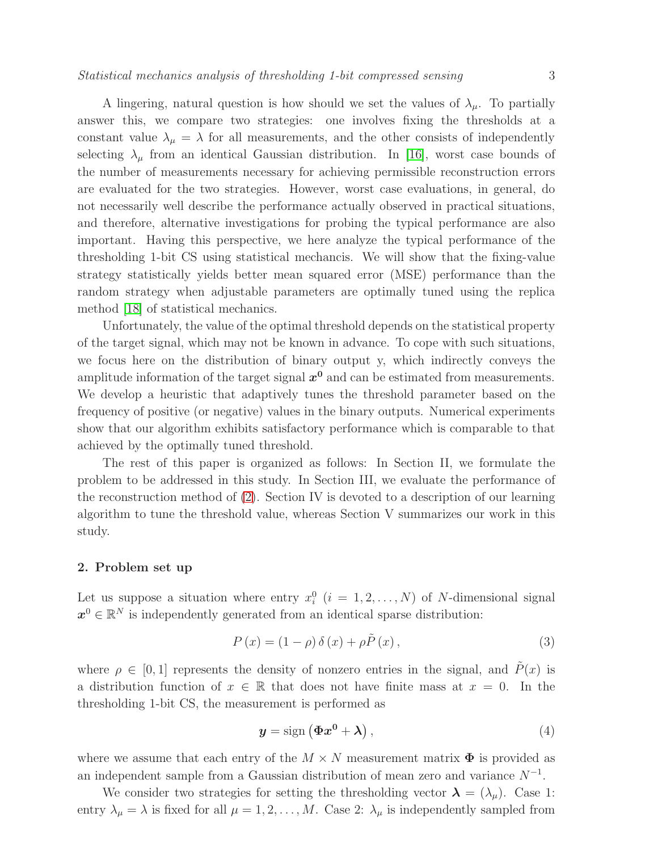A lingering, natural question is how should we set the values of  $\lambda_{\mu}$ . To partially answer this, we compare two strategies: one involves fixing the thresholds at a constant value  $\lambda_{\mu} = \lambda$  for all measurements, and the other consists of independently selecting  $\lambda_{\mu}$  from an identical Gaussian distribution. In [\[16\]](#page-15-11), worst case bounds of the number of measurements necessary for achieving permissible reconstruction errors are evaluated for the two strategies. However, worst case evaluations, in general, do not necessarily well describe the performance actually observed in practical situations, and therefore, alternative investigations for probing the typical performance are also important. Having this perspective, we here analyze the typical performance of the thresholding 1-bit CS using statistical mechancis. We will show that the fixing-value strategy statistically yields better mean squared error (MSE) performance than the random strategy when adjustable parameters are optimally tuned using the replica method [\[18\]](#page-15-13) of statistical mechanics.

Unfortunately, the value of the optimal threshold depends on the statistical property of the target signal, which may not be known in advance. To cope with such situations, we focus here on the distribution of binary output y, which indirectly conveys the amplitude information of the target signal  $x^0$  and can be estimated from measurements. We develop a heuristic that adaptively tunes the threshold parameter based on the frequency of positive (or negative) values in the binary outputs. Numerical experiments show that our algorithm exhibits satisfactory performance which is comparable to that achieved by the optimally tuned threshold.

The rest of this paper is organized as follows: In Section II, we formulate the problem to be addressed in this study. In Section III, we evaluate the performance of the reconstruction method of [\(2\)](#page-1-1). Section IV is devoted to a description of our learning algorithm to tune the threshold value, whereas Section V summarizes our work in this study.

## 2. Problem set up

Let us suppose a situation where entry  $x_i^0$   $(i = 1, 2, ..., N)$  of N-dimensional signal  $x^0 \in \mathbb{R}^N$  is independently generated from an identical sparse distribution:

<span id="page-2-0"></span>
$$
P(x) = (1 - \rho) \delta(x) + \rho \tilde{P}(x), \qquad (3)
$$

where  $\rho \in [0, 1]$  represents the density of nonzero entries in the signal, and  $\tilde{P}(x)$  is a distribution function of  $x \in \mathbb{R}$  that does not have finite mass at  $x = 0$ . In the thresholding 1-bit CS, the measurement is performed as

<span id="page-2-1"></span>
$$
y = sign\left(\Phi x^0 + \lambda\right),\tag{4}
$$

where we assume that each entry of the  $M \times N$  measurement matrix  $\Phi$  is provided as an independent sample from a Gaussian distribution of mean zero and variance  $N^{-1}$ .

We consider two strategies for setting the thresholding vector  $\lambda = (\lambda_{\mu})$ . Case 1: entry  $\lambda_{\mu} = \lambda$  is fixed for all  $\mu = 1, 2, ..., M$ . Case 2:  $\lambda_{\mu}$  is independently sampled from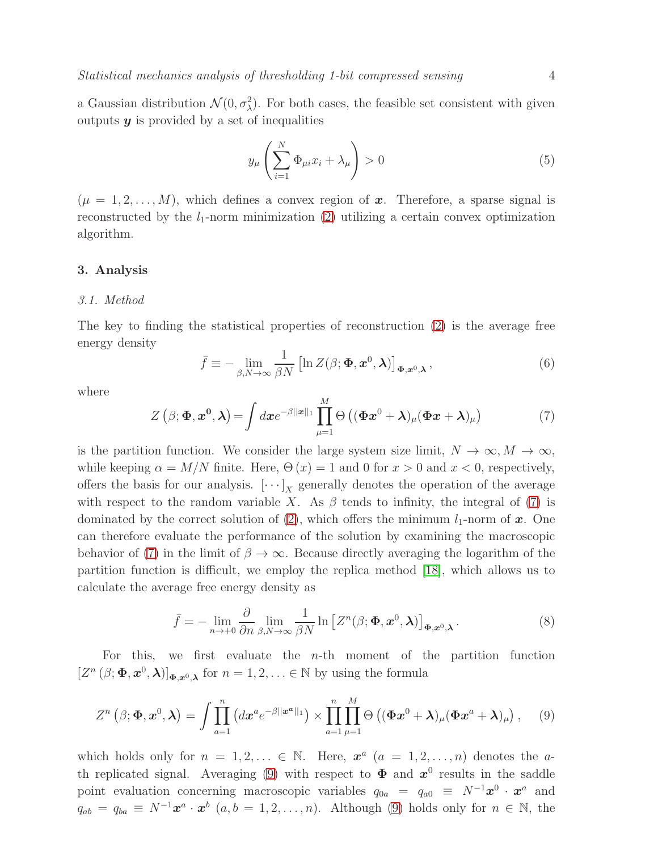a Gaussian distribution  $\mathcal{N}(0, \sigma_{\lambda}^2)$ . For both cases, the feasible set consistent with given outputs  $y$  is provided by a set of inequalities

$$
y_{\mu}\left(\sum_{i=1}^{N}\Phi_{\mu i}x_{i}+\lambda_{\mu}\right)>0
$$
\n(5)

 $(\mu = 1, 2, \ldots, M)$ , which defines a convex region of x. Therefore, a sparse signal is reconstructed by the  $l_1$ -norm minimization [\(2\)](#page-1-1) utilizing a certain convex optimization algorithm.

#### 3. Analysis

#### 3.1. Method

The key to finding the statistical properties of reconstruction [\(2\)](#page-1-1) is the average free energy density

$$
\bar{f} \equiv -\lim_{\beta, N \to \infty} \frac{1}{\beta N} \left[ \ln Z(\beta; \Phi, \mathbf{x}^0, \lambda) \right]_{\Phi, \mathbf{x}^0, \lambda}, \tag{6}
$$

where

<span id="page-3-0"></span>
$$
Z(\beta; \Phi, x^0, \lambda) = \int dx e^{-\beta ||x||_1} \prod_{\mu=1}^M \Theta\left( (\Phi x^0 + \lambda)_{\mu} (\Phi x + \lambda)_{\mu} \right) \tag{7}
$$

is the partition function. We consider the large system size limit,  $N \to \infty, M \to \infty$ , while keeping  $\alpha = M/N$  finite. Here,  $\Theta(x) = 1$  and 0 for  $x > 0$  and  $x < 0$ , respectively, offers the basis for our analysis.  $[\cdots]_X$  generally denotes the operation of the average with respect to the random variable X. As  $\beta$  tends to infinity, the integral of [\(7\)](#page-3-0) is dominated by the correct solution of  $(2)$ , which offers the minimum  $l_1$ -norm of x. One can therefore evaluate the performance of the solution by examining the macroscopic behavior of [\(7\)](#page-3-0) in the limit of  $\beta \to \infty$ . Because directly averaging the logarithm of the partition function is difficult, we employ the replica method [\[18\]](#page-15-13), which allows us to calculate the average free energy density as

$$
\bar{f} = -\lim_{n \to +0} \frac{\partial}{\partial n} \lim_{\beta, N \to \infty} \frac{1}{\beta N} \ln \left[ Z^n(\beta; \Phi, x^0, \lambda) \right]_{\Phi, x^0, \lambda}.
$$
 (8)

For this, we first evaluate the  $n$ -th moment of the partition function  $[Z^n (\beta; \Phi, x^0, \lambda)]_{\Phi, x^0, \lambda}$  for  $n = 1, 2, ... \in \mathbb{N}$  by using the formula

<span id="page-3-1"></span>
$$
Z^{n}\left(\beta;\mathbf{\Phi},\mathbf{x}^{0},\boldsymbol{\lambda}\right)=\int\prod_{a=1}^{n}\left(dx^{a}e^{-\beta||\mathbf{x}^{a}||_{1}}\right)\times\prod_{a=1}^{n}\prod_{\mu=1}^{M}\Theta\left((\mathbf{\Phi}\mathbf{x}^{0}+\boldsymbol{\lambda})_{\mu}(\mathbf{\Phi}\mathbf{x}^{a}+\boldsymbol{\lambda})_{\mu}\right),\quad(9)
$$

which holds only for  $n = 1, 2, \ldots \in \mathbb{N}$ . Here,  $\mathbf{x}^a$   $(a = 1, 2, \ldots, n)$  denotes the a-th replicated signal. Averaging [\(9\)](#page-3-1) with respect to  $\Phi$  and  $x^0$  results in the saddle point evaluation concerning macroscopic variables  $q_{0a} = q_{a0} \equiv N^{-1}x^0 \cdot x^a$  and  $q_{ab} = q_{ba} \equiv N^{-1}x^a \cdot x^b$   $(a, b = 1, 2, ..., n)$ . Although [\(9\)](#page-3-1) holds only for  $n \in \mathbb{N}$ , the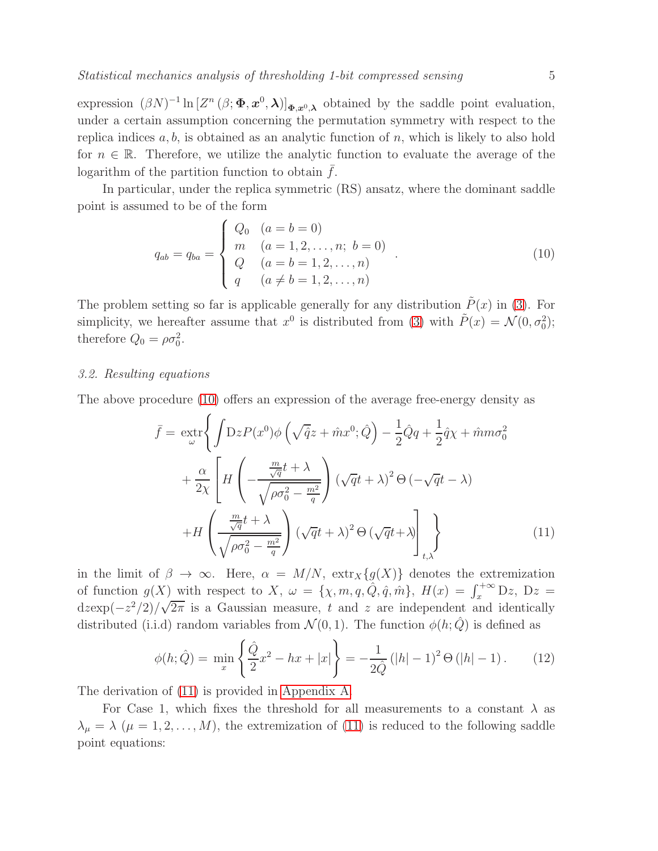expression  $(\beta N)^{-1} \ln \left[ Z^n (\beta; \Phi, x^0, \lambda) \right]_{\Phi, x^0, \lambda}$  obtained by the saddle point evaluation, under a certain assumption concerning the permutation symmetry with respect to the replica indices  $a, b$ , is obtained as an analytic function of n, which is likely to also hold for  $n \in \mathbb{R}$ . Therefore, we utilize the analytic function to evaluate the average of the logarithm of the partition function to obtain  $f$ .

In particular, under the replica symmetric (RS) ansatz, where the dominant saddle point is assumed to be of the form

<span id="page-4-0"></span>
$$
q_{ab} = q_{ba} = \begin{cases} Q_0 & (a = b = 0) \\ m & (a = 1, 2, ..., n; b = 0) \\ Q & (a = b = 1, 2, ..., n) \\ q & (a \neq b = 1, 2, ..., n) \end{cases} (10)
$$

The problem setting so far is applicable generally for any distribution  $\tilde{P}(x)$  in [\(3\)](#page-2-0). For simplicity, we hereafter assume that  $x^0$  is distributed from [\(3\)](#page-2-0) with  $\tilde{P}(x) = \mathcal{N}(0, \sigma_0^2);$ therefore  $Q_0 = \rho \sigma_0^2$ .

## 3.2. Resulting equations

The above procedure [\(10\)](#page-4-0) offers an expression of the average free-energy density as

<span id="page-4-1"></span>
$$
\bar{f} = \operatorname{ext}_{\omega} \left\{ \int \mathcal{D}z P(x^0) \phi \left( \sqrt{\hat{q}} z + \hat{m} x^0; \hat{Q} \right) - \frac{1}{2} \hat{Q} q + \frac{1}{2} \hat{q} \chi + \hat{m} m \sigma_0^2 \right. \\ \left. + \frac{\alpha}{2\chi} \left[ H \left( -\frac{\frac{m}{\sqrt{q}} t + \lambda}{\sqrt{\rho \sigma_0^2 - \frac{m^2}{q}}} \right) (\sqrt{q} t + \lambda)^2 \Theta \left( -\sqrt{q} t - \lambda \right) \right. \\ \left. + H \left( \frac{\frac{m}{\sqrt{q}} t + \lambda}{\sqrt{\rho \sigma_0^2 - \frac{m^2}{q}}} \right) (\sqrt{q} t + \lambda)^2 \Theta \left( \sqrt{q} t + \lambda \right) \right]_{t, \lambda} \right\} \tag{11}
$$

in the limit of  $\beta \to \infty$ . Here,  $\alpha = M/N$ ,  $\text{extr}_X\{g(X)\}\$  denotes the extremization of function  $g(X)$  with respect to X,  $\omega = {\chi, m, q, \hat{Q}, \hat{q}, \hat{m}}}$ ,  $H(x) = \int_x^{+\infty} Dz$ ,  $Dz =$  $d \exp(-z^2/2)/\sqrt{2\pi}$  is a Gaussian measure, t and z are independent and identically distributed (i.i.d) random variables from  $\mathcal{N}(0, 1)$ . The function  $\phi(h; Q)$  is defined as

$$
\phi(h; \hat{Q}) = \min_{x} \left\{ \frac{\hat{Q}}{2} x^2 - hx + |x| \right\} = -\frac{1}{2\hat{Q}} \left( |h| - 1 \right)^2 \Theta \left( |h| - 1 \right). \tag{12}
$$

The derivation of [\(11\)](#page-4-1) is provided in [Appendix A.](#page-12-0)

For Case 1, which fixes the threshold for all measurements to a constant  $\lambda$  as  $\lambda_{\mu} = \lambda \ (\mu = 1, 2, \dots, M)$ , the extremization of [\(11\)](#page-4-1) is reduced to the following saddle point equations: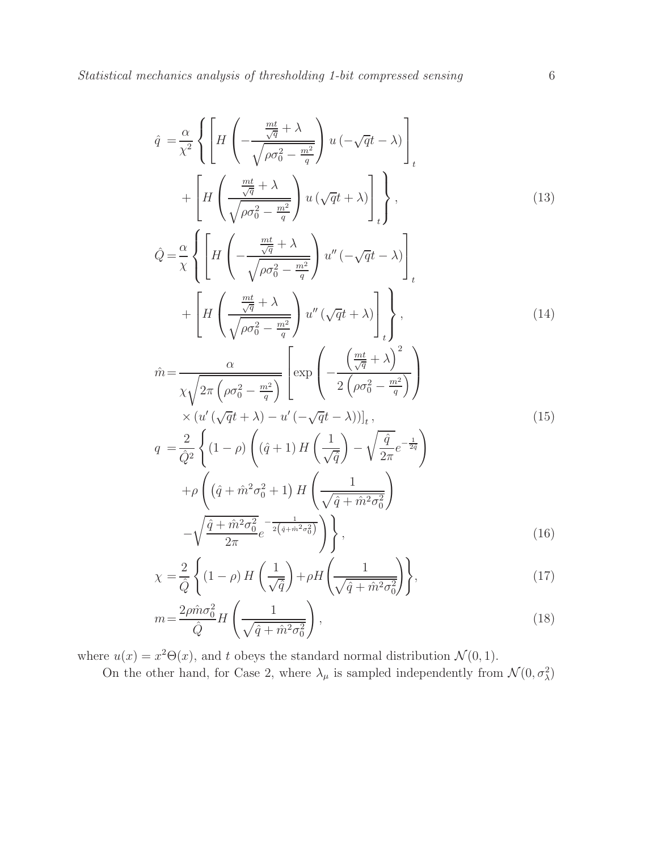q

<span id="page-5-0"></span>
$$
\hat{q} = \frac{\alpha}{\chi^2} \left\{ \left[ H \left( -\frac{\frac{mt}{\sqrt{q}} + \lambda}{\sqrt{\rho \sigma_0^2 - \frac{m^2}{q}}} \right) u \left( -\sqrt{q}t - \lambda \right) \right]_t + \left[ H \left( \frac{\frac{mt}{\sqrt{q}} + \lambda}{\sqrt{\rho \sigma_0^2 - \frac{m^2}{q}}} \right) u \left( \sqrt{q}t + \lambda \right) \right]_t \right\},\tag{13}
$$

$$
\hat{Q} = \frac{\alpha}{\chi} \left\{ \left[ H \left( -\frac{\frac{mt}{\sqrt{q}} + \lambda}{\sqrt{\rho \sigma_0^2 - \frac{m^2}{q}}} \right) u'' \left( -\sqrt{q}t - \lambda \right) \right]_t
$$

$$
+ \left[ H \left( \frac{\frac{mt}{\sqrt{q}} + \lambda}{\sqrt{\rho \sigma_0^2 - \frac{m^2}{q}}} \right) u'' \left( \sqrt{q}t + \lambda \right) \right]_t \right\},\tag{14}
$$

$$
\hat{m} = \frac{\alpha}{\chi \sqrt{2\pi \left(\rho \sigma_0^2 - \frac{m^2}{q}\right)}} \left[ \exp\left(-\frac{\left(\frac{mt}{\sqrt{q}} + \lambda\right)^2}{2\left(\rho \sigma_0^2 - \frac{m^2}{q}\right)}\right) \times \left(u'(\sqrt{q}t + \lambda) - u'(-\sqrt{q}t - \lambda)\right)\right]_t,\tag{15}
$$

$$
q = \frac{2}{\hat{Q}^2} \left\{ (1 - \rho) \left( (\hat{q} + 1) H\left(\frac{1}{\sqrt{\hat{q}}} \right) - \sqrt{\frac{\hat{q}}{2\pi}} e^{-\frac{1}{2\hat{q}}} \right) \right\}
$$

$$
+ \rho \left( (\hat{q} + \hat{m}^2 \sigma_0^2 + 1) H\left(\frac{1}{\sqrt{\hat{q} + \hat{m}^2 \sigma_0^2}} \right) \right)
$$

$$
- \sqrt{\frac{\hat{q} + \hat{m}^2 \sigma_0^2}{2\pi}} e^{-\frac{1}{2\left(\hat{q} + \hat{m}^2 \sigma_0^2\right)}} \right\}, \tag{16}
$$

$$
\chi = \frac{2}{\hat{Q}} \left\{ (1 - \rho) H\left(\frac{1}{\sqrt{\hat{q}}} \right) + \rho H\left(\frac{1}{\sqrt{\hat{q} + \hat{m}^2 \sigma_0^2}} \right) \right\},\tag{17}
$$

$$
m = \frac{2\rho \hat{m}\sigma_0^2}{\hat{Q}}H\left(\frac{1}{\sqrt{\hat{q} + \hat{m}^2\sigma_0^2}}\right),\tag{18}
$$

where  $u(x) = x^2 \Theta(x)$ , and t obeys the standard normal distribution  $\mathcal{N}(0, 1)$ .

On the other hand, for Case 2, where  $\lambda_{\mu}$  is sampled independently from  $\mathcal{N}(0, \sigma_{\lambda}^2)$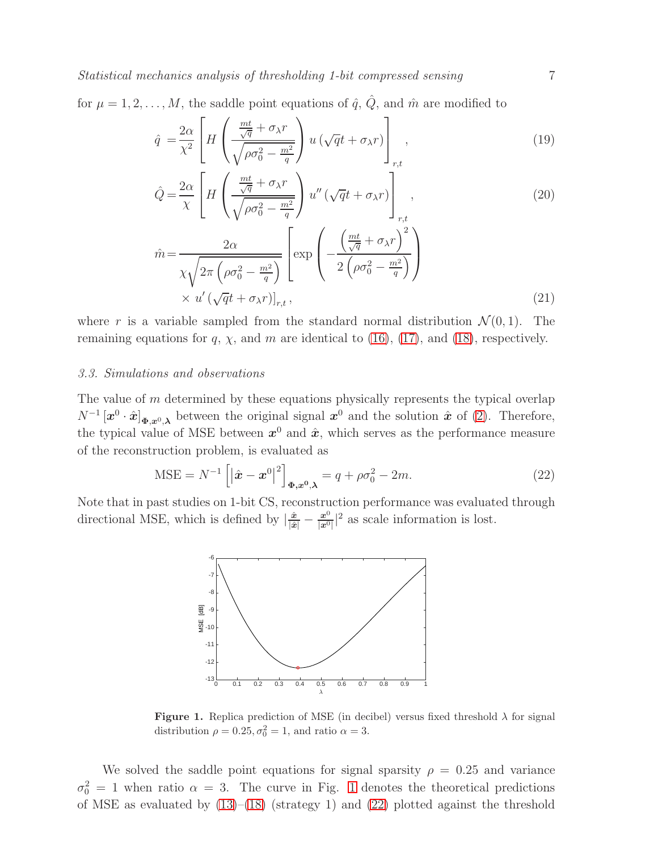Statistical mechanics analysis of thresholding 1-bit compressed sensing  $7$ 

for  $\mu = 1, 2, \ldots, M$ , the saddle point equations of  $\hat{q}$ ,  $\hat{Q}$ , and  $\hat{m}$  are modified to

<span id="page-6-2"></span>
$$
\hat{q} = \frac{2\alpha}{\chi^2} \left[ H \left( \frac{\frac{mt}{\sqrt{q}} + \sigma_{\lambda}r}{\sqrt{\rho \sigma_0^2 - \frac{m^2}{q}}} \right) u \left( \sqrt{q}t + \sigma_{\lambda}r \right) \right]_{r,t}, \tag{19}
$$

$$
\hat{Q} = \frac{2\alpha}{\chi} \left[ H \left( \frac{\frac{mt}{\sqrt{q}} + \sigma_{\lambda}r}{\sqrt{\rho \sigma_0^2 - \frac{m^2}{q}}} \right) u'' \left( \sqrt{q}t + \sigma_{\lambda}r \right) \right]_{r,t},\tag{20}
$$

$$
\hat{m} = \frac{2\alpha}{\chi\sqrt{2\pi\left(\rho\sigma_0^2 - \frac{m^2}{q}\right)}} \left[ \exp\left(-\frac{\left(\frac{mt}{\sqrt{q}} + \sigma_\lambda r\right)^2}{2\left(\rho\sigma_0^2 - \frac{m^2}{q}\right)}\right) \times u' \left(\sqrt{q}t + \sigma_\lambda r\right) \right]_{r,t},\tag{21}
$$

where r is a variable sampled from the standard normal distribution  $\mathcal{N}(0,1)$ . The remaining equations for q,  $\chi$ , and m are identical to [\(16\)](#page-5-0), [\(17\)](#page-5-0), and [\(18\)](#page-5-0), respectively.

#### 3.3. Simulations and observations

The value of m determined by these equations physically represents the typical overlap  $N^{-1} [\bm{x}^0 \cdot \hat{\bm{x}}]_{\Phi,\bm{x}^0,\bm{\lambda}}$  between the original signal  $\bm{x}^0$  and the solution  $\hat{\bm{x}}$  of [\(2\)](#page-1-1). Therefore, the typical value of MSE between  $x^0$  and  $\hat{x}$ , which serves as the performance measure of the reconstruction problem, is evaluated as

<span id="page-6-1"></span>
$$
\text{MSE} = N^{-1} \left[ \left| \hat{\boldsymbol{x}} - \boldsymbol{x}^{0} \right|^{2} \right]_{\boldsymbol{\Phi}, \boldsymbol{x}^{0}, \boldsymbol{\lambda}} = q + \rho \sigma_{0}^{2} - 2m. \tag{22}
$$

Note that in past studies on 1-bit CS, reconstruction performance was evaluated through directional MSE, which is defined by  $\left|\frac{\hat{x}}{|\hat{x}|} - \frac{x^0}{|x^0|}\right|$  $\frac{x^0}{|x^0|}$ <sup>2</sup> as scale information is lost.



<span id="page-6-0"></span>**Figure 1.** Replica prediction of MSE (in decibel) versus fixed threshold  $\lambda$  for signal distribution  $\rho = 0.25, \sigma_0^2 = 1$ , and ratio  $\alpha = 3$ .

We solved the saddle point equations for signal sparsity  $\rho = 0.25$  and variance  $\sigma_0^2 = 1$  $\sigma_0^2 = 1$  when ratio  $\alpha = 3$ . The curve in Fig. 1 denotes the theoretical predictions of MSE as evaluated by  $(13)$ – $(18)$  (strategy 1) and  $(22)$  plotted against the threshold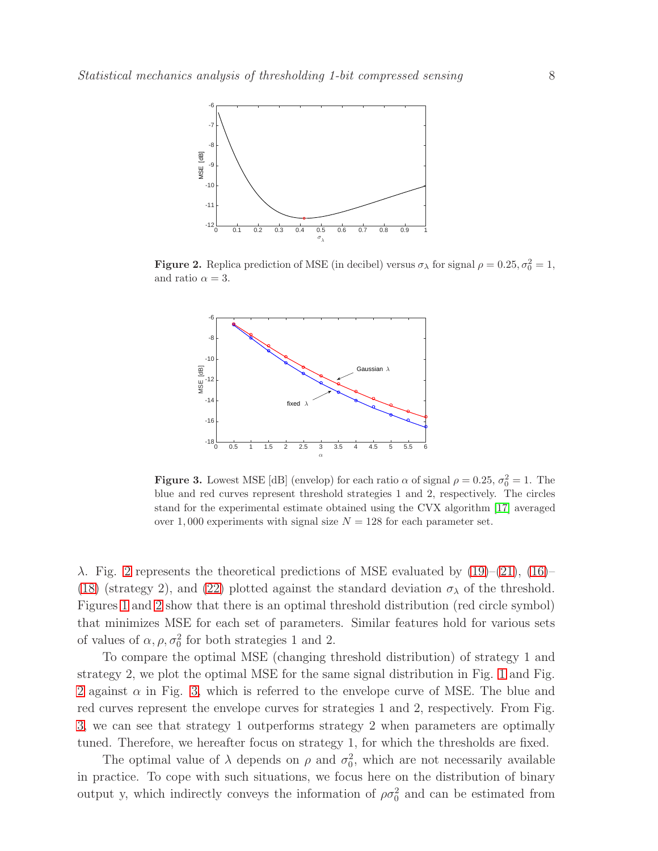

**Figure 2.** Replica prediction of MSE (in decibel) versus  $\sigma_{\lambda}$  for signal  $\rho = 0.25, \sigma_0^2 = 1$ , and ratio  $\alpha = 3$ .

<span id="page-7-0"></span>

<span id="page-7-1"></span>**Figure 3.** Lowest MSE [dB] (envelop) for each ratio  $\alpha$  of signal  $\rho = 0.25$ ,  $\sigma_0^2 = 1$ . The blue and red curves represent threshold strategies 1 and 2, respectively. The circles stand for the experimental estimate obtained using the CVX algorithm [\[17\]](#page-15-12) averaged over 1,000 experiments with signal size  $N = 128$  for each parameter set.

 $\lambda$ . Fig. [2](#page-7-0) represents the theoretical predictions of MSE evaluated by [\(19\)](#page-6-2)–[\(21\)](#page-6-2), [\(16\)](#page-5-0)– [\(18\)](#page-5-0) (strategy 2), and [\(22\)](#page-6-1) plotted against the standard deviation  $\sigma_{\lambda}$  of the threshold. Figures [1](#page-6-0) and [2](#page-7-0) show that there is an optimal threshold distribution (red circle symbol) that minimizes MSE for each set of parameters. Similar features hold for various sets of values of  $\alpha$ ,  $\rho$ ,  $\sigma_0^2$  for both strategies 1 and 2.

To compare the optimal MSE (changing threshold distribution) of strategy 1 and strategy 2, we plot the optimal MSE for the same signal distribution in Fig. [1](#page-6-0) and Fig. [2](#page-7-0) against  $\alpha$  in Fig. [3,](#page-7-1) which is referred to the envelope curve of MSE. The blue and red curves represent the envelope curves for strategies 1 and 2, respectively. From Fig. [3,](#page-7-1) we can see that strategy 1 outperforms strategy 2 when parameters are optimally tuned. Therefore, we hereafter focus on strategy 1, for which the thresholds are fixed.

The optimal value of  $\lambda$  depends on  $\rho$  and  $\sigma_0^2$ , which are not necessarily available in practice. To cope with such situations, we focus here on the distribution of binary output y, which indirectly conveys the information of  $\rho \sigma_0^2$  and can be estimated from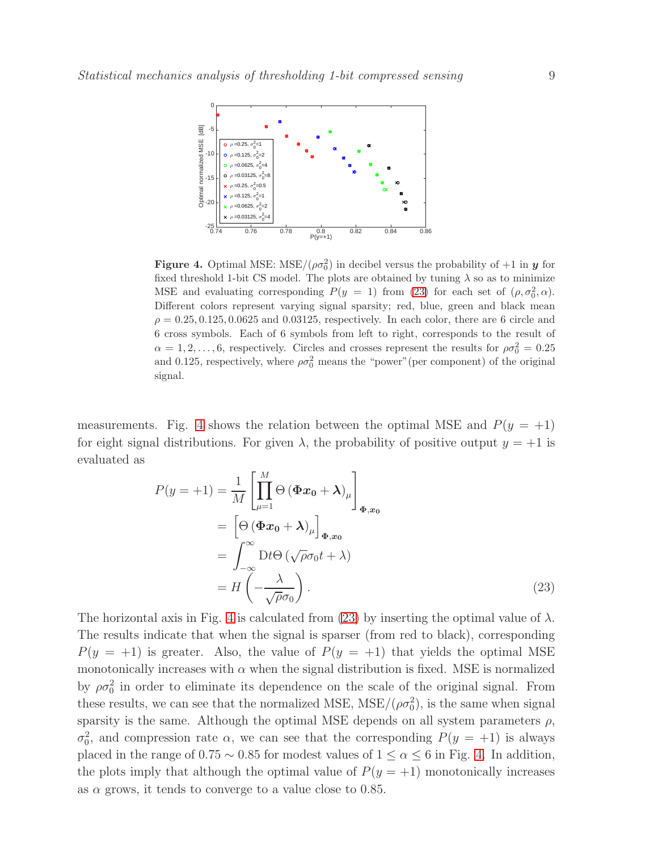

<span id="page-8-1"></span>Figure 4. Optimal MSE: MSE/ $(\rho \sigma_0^2)$  in decibel versus the probability of  $+1$  in y for fixed threshold 1-bit CS model. The plots are obtained by tuning  $\lambda$  so as to minimize MSE and evaluating corresponding  $P(y = 1)$  from [\(23\)](#page-8-0) for each set of  $(\rho, \sigma_0^2, \alpha)$ . Different colors represent varying signal sparsity; red, blue, green and black mean  $\rho = 0.25, 0.125, 0.0625$  and 0.03125, respectively. In each color, there are 6 circle and 6 cross symbols. Each of 6 symbols from left to right, corresponds to the result of  $\alpha = 1, 2, \ldots, 6$ , respectively. Circles and crosses represent the results for  $\rho \sigma_0^2 = 0.25$ and 0.125, respectively, where  $\rho \sigma_0^2$  means the "power" (per component) of the original signal.

measurements. Fig. [4](#page-8-1) shows the relation between the optimal MSE and  $P(y = +1)$ for eight signal distributions. For given  $\lambda$ , the probability of positive output  $y = +1$  is evaluated as

<span id="page-8-0"></span>
$$
P(y = +1) = \frac{1}{M} \left[ \prod_{\mu=1}^{M} \Theta (\Phi x_0 + \lambda)_{\mu} \right]_{\Phi, x_0}
$$
  
= 
$$
\left[ \Theta (\Phi x_0 + \lambda)_{\mu} \right]_{\Phi, x_0}
$$
  
= 
$$
\int_{-\infty}^{\infty} \mathrm{D} t \Theta (\sqrt{\rho} \sigma_0 t + \lambda)
$$
  
= 
$$
H \left( -\frac{\lambda}{\sqrt{\rho} \sigma_0} \right).
$$
 (23)

The horizontal axis in Fig. [4](#page-8-1) is calculated from [\(23\)](#page-8-0) by inserting the optimal value of  $\lambda$ . The results indicate that when the signal is sparser (from red to black), corresponding  $P(y = +1)$  is greater. Also, the value of  $P(y = +1)$  that yields the optimal MSE monotonically increases with  $\alpha$  when the signal distribution is fixed. MSE is normalized by  $\rho \sigma_0^2$  in order to eliminate its dependence on the scale of the original signal. From these results, we can see that the normalized MSE,  $MSE/(\rho \sigma_0^2)$ , is the same when signal sparsity is the same. Although the optimal MSE depends on all system parameters  $\rho$ ,  $σ<sub>0</sub><sup>2</sup>$ , and compression rate  $α$ , we can see that the corresponding  $P(y = +1)$  is always placed in the range of  $0.75 \sim 0.85$  for modest values of  $1 \leq \alpha \leq 6$  in Fig. [4.](#page-8-1) In addition, the plots imply that although the optimal value of  $P(y = +1)$  monotonically increases as  $\alpha$  grows, it tends to converge to a value close to 0.85.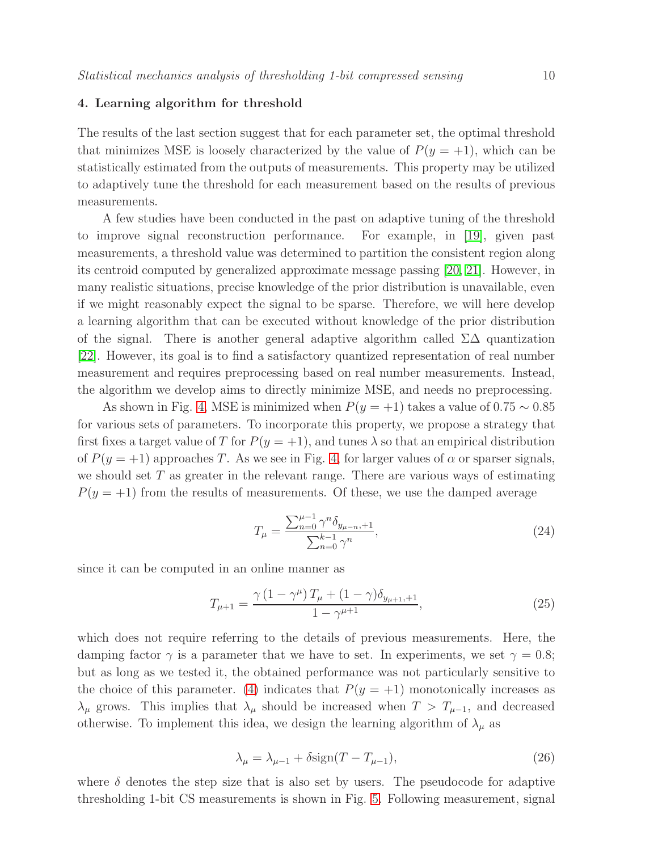## 4. Learning algorithm for threshold

The results of the last section suggest that for each parameter set, the optimal threshold that minimizes MSE is loosely characterized by the value of  $P(y = +1)$ , which can be statistically estimated from the outputs of measurements. This property may be utilized to adaptively tune the threshold for each measurement based on the results of previous measurements.

A few studies have been conducted in the past on adaptive tuning of the threshold to improve signal reconstruction performance. For example, in [\[19\]](#page-15-14), given past measurements, a threshold value was determined to partition the consistent region along its centroid computed by generalized approximate message passing [\[20,](#page-15-15) [21\]](#page-15-16). However, in many realistic situations, precise knowledge of the prior distribution is unavailable, even if we might reasonably expect the signal to be sparse. Therefore, we will here develop a learning algorithm that can be executed without knowledge of the prior distribution of the signal. There is another general adaptive algorithm called  $\Sigma\Delta$  quantization [\[22\]](#page-15-17). However, its goal is to find a satisfactory quantized representation of real number measurement and requires preprocessing based on real number measurements. Instead, the algorithm we develop aims to directly minimize MSE, and needs no preprocessing.

As shown in Fig. [4,](#page-8-1) MSE is minimized when  $P(y = +1)$  takes a value of 0.75 ~ 0.85 for various sets of parameters. To incorporate this property, we propose a strategy that first fixes a target value of T for  $P(y = +1)$ , and tunes  $\lambda$  so that an empirical distribution of  $P(y = +1)$  approaches T. As we see in Fig. [4,](#page-8-1) for larger values of  $\alpha$  or sparser signals, we should set  $T$  as greater in the relevant range. There are various ways of estimating  $P(y = +1)$  from the results of measurements. Of these, we use the damped average

$$
T_{\mu} = \frac{\sum_{n=0}^{\mu-1} \gamma^n \delta_{y_{\mu-n},+1}}{\sum_{n=0}^{k-1} \gamma^n},\tag{24}
$$

since it can be computed in an online manner as

$$
T_{\mu+1} = \frac{\gamma (1 - \gamma^{\mu}) T_{\mu} + (1 - \gamma) \delta_{y_{\mu+1},+1}}{1 - \gamma^{\mu+1}},
$$
\n(25)

which does not require referring to the details of previous measurements. Here, the damping factor  $\gamma$  is a parameter that we have to set. In experiments, we set  $\gamma = 0.8$ ; but as long as we tested it, the obtained performance was not particularly sensitive to the choice of this parameter. [\(4\)](#page-2-1) indicates that  $P(y = +1)$  monotonically increases as  $\lambda_{\mu}$  grows. This implies that  $\lambda_{\mu}$  should be increased when  $T > T_{\mu-1}$ , and decreased otherwise. To implement this idea, we design the learning algorithm of  $\lambda_{\mu}$  as

$$
\lambda_{\mu} = \lambda_{\mu-1} + \delta \text{sign}(T - T_{\mu-1}),\tag{26}
$$

where  $\delta$  denotes the step size that is also set by users. The pseudocode for adaptive thresholding 1-bit CS measurements is shown in Fig. [5.](#page-10-0) Following measurement, signal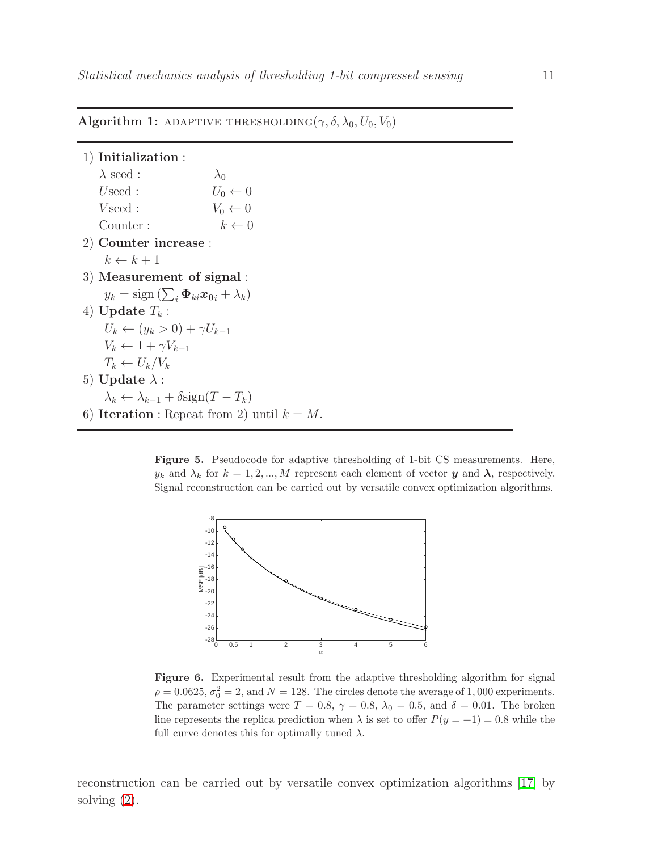## Algorithm 1: ADAPTIVE THRESHOLDING( $\gamma$ ,  $\delta$ ,  $\lambda_0$ ,  $U_0$ ,  $V_0$ )

1) Initialization :  $\lambda$  seed :  $\lambda_0$ Useed :  $U_0 \leftarrow 0$ <br>
Vseed :  $V_0 \leftarrow 0$ V seed :  $V_0 \leftarrow 0$ <br>Counter :  $k \leftarrow 0$  $Counter:$ 2) Counter increase :  $k \leftarrow k + 1$ 3) Measurement of signal :  $y_k = \text{sign}\left(\sum_i \boldsymbol{\Phi}_{ki} \boldsymbol{x_0}_i + \lambda_k\right)$ 4) Update  $T_k$  :  $U_k \leftarrow (y_k > 0) + \gamma U_{k-1}$  $V_k \leftarrow 1 + \gamma V_{k-1}$  $T_k \leftarrow U_k/V_k$ 5) Update  $\lambda$  :  $\lambda_k \leftarrow \lambda_{k-1} + \delta \text{sign}(T - T_k)$ 6) Iteration : Repeat from 2) until  $k = M$ .

> Figure 5. Pseudocode for adaptive thresholding of 1-bit CS measurements. Here,  $y_k$  and  $\lambda_k$  for  $k = 1, 2, ..., M$  represent each element of vector y and  $\lambda$ , respectively. Signal reconstruction can be carried out by versatile convex optimization algorithms.

<span id="page-10-0"></span>

<span id="page-10-1"></span>Figure 6. Experimental result from the adaptive thresholding algorithm for signal  $\rho = 0.0625, \sigma_0^2 = 2$ , and  $N = 128$ . The circles denote the average of 1,000 experiments. The parameter settings were  $T = 0.8$ ,  $\gamma = 0.8$ ,  $\lambda_0 = 0.5$ , and  $\delta = 0.01$ . The broken line represents the replica prediction when  $\lambda$  is set to offer  $P(y = +1) = 0.8$  while the full curve denotes this for optimally tuned  $\lambda$ .

reconstruction can be carried out by versatile convex optimization algorithms [\[17\]](#page-15-12) by solving  $(2)$ .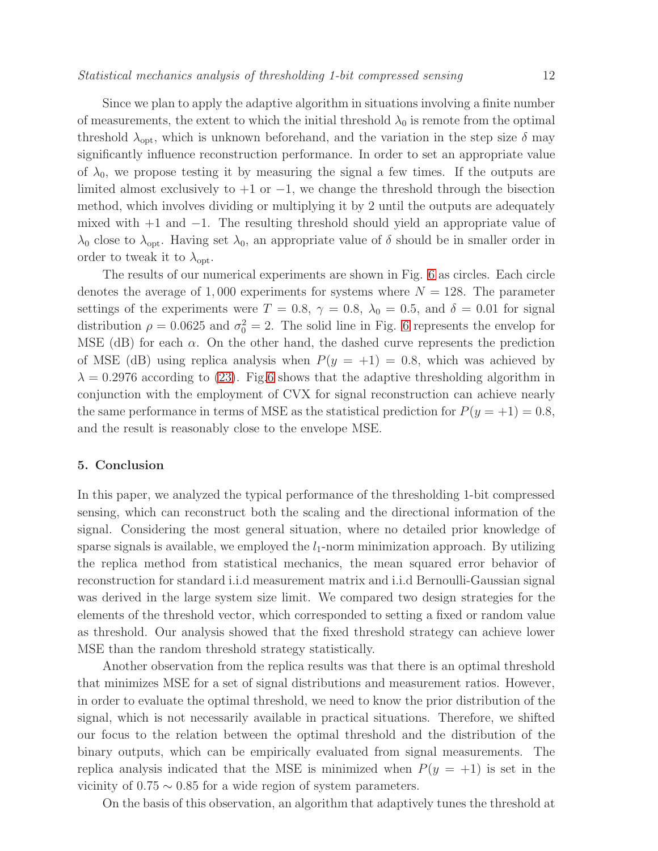Since we plan to apply the adaptive algorithm in situations involving a finite number of measurements, the extent to which the initial threshold  $\lambda_0$  is remote from the optimal threshold  $\lambda_{\text{opt}}$ , which is unknown beforehand, and the variation in the step size  $\delta$  may significantly influence reconstruction performance. In order to set an appropriate value of  $\lambda_0$ , we propose testing it by measuring the signal a few times. If the outputs are limited almost exclusively to  $+1$  or  $-1$ , we change the threshold through the bisection method, which involves dividing or multiplying it by 2 until the outputs are adequately mixed with +1 and −1. The resulting threshold should yield an appropriate value of  $\lambda_0$  close to  $\lambda_{\text{opt}}$ . Having set  $\lambda_0$ , an appropriate value of  $\delta$  should be in smaller order in order to tweak it to  $\lambda_{\text{opt}}$ .

The results of our numerical experiments are shown in Fig. [6](#page-10-1) as circles. Each circle denotes the average of 1,000 experiments for systems where  $N = 128$ . The parameter settings of the experiments were  $T = 0.8$ ,  $\gamma = 0.8$ ,  $\lambda_0 = 0.5$ , and  $\delta = 0.01$  for signal distribution  $\rho = 0.0625$  and  $\sigma_0^2 = 2$ . The solid line in Fig. [6](#page-10-1) represents the envelop for MSE (dB) for each  $\alpha$ . On the other hand, the dashed curve represents the prediction of MSE (dB) using replica analysis when  $P(y = +1) = 0.8$ , which was achieved by  $\lambda = 0.2976$  according to [\(23\)](#page-8-0). Fig[.6](#page-10-1) shows that the adaptive thresholding algorithm in conjunction with the employment of CVX for signal reconstruction can achieve nearly the same performance in terms of MSE as the statistical prediction for  $P(y = +1) = 0.8$ , and the result is reasonably close to the envelope MSE.

#### 5. Conclusion

In this paper, we analyzed the typical performance of the thresholding 1-bit compressed sensing, which can reconstruct both the scaling and the directional information of the signal. Considering the most general situation, where no detailed prior knowledge of sparse signals is available, we employed the  $l_1$ -norm minimization approach. By utilizing the replica method from statistical mechanics, the mean squared error behavior of reconstruction for standard i.i.d measurement matrix and i.i.d Bernoulli-Gaussian signal was derived in the large system size limit. We compared two design strategies for the elements of the threshold vector, which corresponded to setting a fixed or random value as threshold. Our analysis showed that the fixed threshold strategy can achieve lower MSE than the random threshold strategy statistically.

Another observation from the replica results was that there is an optimal threshold that minimizes MSE for a set of signal distributions and measurement ratios. However, in order to evaluate the optimal threshold, we need to know the prior distribution of the signal, which is not necessarily available in practical situations. Therefore, we shifted our focus to the relation between the optimal threshold and the distribution of the binary outputs, which can be empirically evaluated from signal measurements. The replica analysis indicated that the MSE is minimized when  $P(y = +1)$  is set in the vicinity of  $0.75 \sim 0.85$  for a wide region of system parameters.

On the basis of this observation, an algorithm that adaptively tunes the threshold at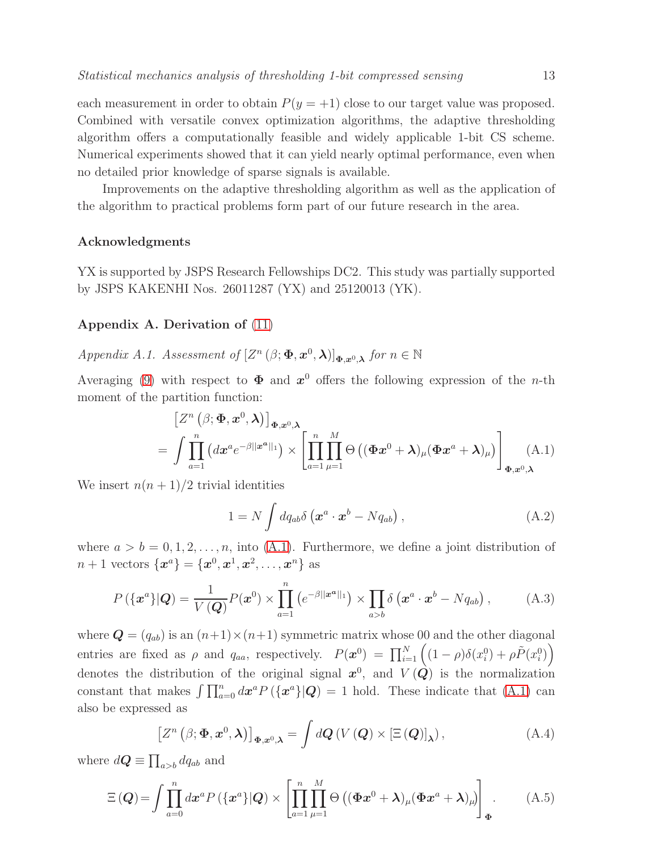each measurement in order to obtain  $P(y = +1)$  close to our target value was proposed. Combined with versatile convex optimization algorithms, the adaptive thresholding algorithm offers a computationally feasible and widely applicable 1-bit CS scheme. Numerical experiments showed that it can yield nearly optimal performance, even when no detailed prior knowledge of sparse signals is available.

Improvements on the adaptive thresholding algorithm as well as the application of the algorithm to practical problems form part of our future research in the area.

## Acknowledgments

YX is supported by JSPS Research Fellowships DC2. This study was partially supported by JSPS KAKENHI Nos. 26011287 (YX) and 25120013 (YK).

## <span id="page-12-0"></span>Appendix A. Derivation of [\(11\)](#page-4-1)

Appendix A.1. Assessment of  $[Z^n (\beta; \Phi, x^0, \lambda)]_{\Phi, x^0, \lambda}$  for  $n \in \mathbb{N}$ 

Averaging [\(9\)](#page-3-1) with respect to  $\Phi$  and  $x^0$  offers the following expression of the *n*-th moment of the partition function:

<span id="page-12-1"></span>
$$
\begin{split} \left[Z^{n}\left(\beta;\Phi,x^{0},\lambda\right)\right]_{\Phi,x^{0},\lambda} \\ &= \int\prod_{a=1}^{n}\left(dx^{a}e^{-\beta||x^{a}||_{1}}\right) \times \left[\prod_{a=1}^{n}\prod_{\mu=1}^{M}\Theta\left((\Phi x^{0}+\lambda)_{\mu}(\Phi x^{a}+\lambda)_{\mu}\right)\right]_{\Phi,x^{0},\lambda} (A.1) \end{split}
$$

We insert  $n(n+1)/2$  trivial identities

$$
1 = N \int dq_{ab} \delta \left( \boldsymbol{x}^a \cdot \boldsymbol{x}^b - Nq_{ab} \right), \tag{A.2}
$$

where  $a > b = 0, 1, 2, \ldots, n$ , into [\(A.1\)](#page-12-1). Furthermore, we define a joint distribution of  $n+1$  vectors  $\{\boldsymbol{x}^a\} = \{\boldsymbol{x}^0, \boldsymbol{x}^1, \boldsymbol{x}^2, \dots, \boldsymbol{x}^n\}$  as

$$
P\left(\{\mathbf{x}^a\}|\mathbf{Q}\right) = \frac{1}{V\left(\mathbf{Q}\right)}P\left(\mathbf{x}^0\right) \times \prod_{a=1}^n \left(e^{-\beta||\mathbf{x}^a||_1}\right) \times \prod_{a>b} \delta\left(\mathbf{x}^a \cdot \mathbf{x}^b - Nq_{ab}\right),\tag{A.3}
$$

where  $\mathbf{Q} = (q_{ab})$  is an  $(n+1) \times (n+1)$  symmetric matrix whose 00 and the other diagonal entries are fixed as  $\rho$  and  $q_{aa}$ , respectively.  $P(\boldsymbol{x}^0) = \prod_{i=1}^N ((1-\rho)\delta(x_i^0) + \rho \tilde{P}(x_i^0))$ denotes the distribution of the original signal  $x^0$ , and  $V(Q)$  is the normalization constant that makes  $\int \prod_{a=0}^{n} dx^{a} P(\lbrace x^{a} \rbrace | Q) = 1$  hold. These indicate that [\(A.1\)](#page-12-1) can also be expressed as

<span id="page-12-3"></span>
$$
\left[Z^{n}\left(\beta;\boldsymbol{\Phi},\boldsymbol{x}^{0},\boldsymbol{\lambda}\right)\right]_{\boldsymbol{\Phi},\boldsymbol{x}^{0},\boldsymbol{\lambda}}=\int d\boldsymbol{Q}\left(V\left(\boldsymbol{Q}\right)\times\left[\Xi\left(\boldsymbol{Q}\right)\right]_{\boldsymbol{\lambda}}\right),\tag{A.4}
$$

where  $d\mathbf{Q} \equiv \prod_{a>b} dq_{ab}$  and

<span id="page-12-2"></span>
$$
\Xi\left(\boldsymbol{Q}\right) = \int \prod_{a=0}^{n} dx^{a} P\left(\left\{\boldsymbol{x}^{a}\right\} | \boldsymbol{Q}\right) \times \left[ \prod_{a=1}^{n} \prod_{\mu=1}^{M} \Theta\left((\boldsymbol{\Phi}\boldsymbol{x}^{0} + \boldsymbol{\lambda})_{\mu} (\boldsymbol{\Phi}\boldsymbol{x}^{a} + \boldsymbol{\lambda})_{\mu}\right) \right]_{\boldsymbol{\Phi}}.
$$
 (A.5)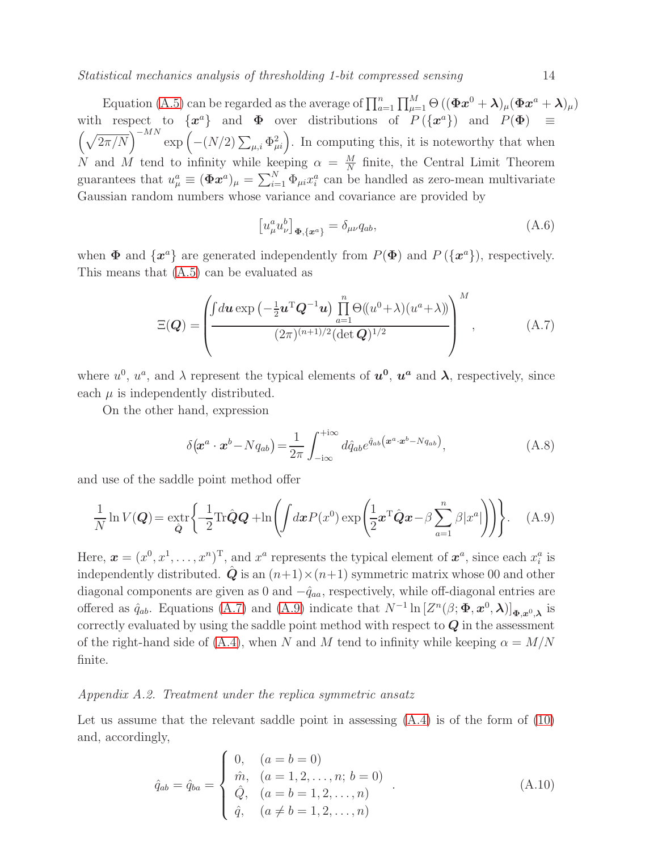Statistical mechanics analysis of thresholding 1-bit compressed sensing 14

Equation [\(A.5\)](#page-12-2) can be regarded as the average of  $\prod_{a=1}^{n} \prod_{\mu=1}^{M} \Theta\left((\Phi x^{0} + \lambda)_{\mu} (\Phi x^{a} + \lambda)_{\mu}\right)$ with respect to  $\{\boldsymbol{x}^a\}$  and  $\boldsymbol{\Phi}$  over distributions of  $P(\{\boldsymbol{x}^a\})$  and  $P(\boldsymbol{\Phi}) \equiv$  $\left(\sqrt{2\pi/N}\right)^{-MN}$  exp  $\left(-\left(N/2\right)\sum_{\mu,i}\Phi_{\mu i}^2\right)$ . In computing this, it is noteworthy that when N and M tend to infinity while keeping  $\alpha = \frac{M}{N}$  $\frac{M}{N}$  finite, the Central Limit Theorem guarantees that  $u^a_\mu \equiv (\Phi \mathbf{x}^a)_\mu = \sum_{i=1}^N \Phi_{\mu i} x_i^a$  can be handled as zero-mean multivariate Gaussian random numbers whose variance and covariance are provided by

$$
\left[u_{\mu}^{a}u_{\nu}^{b}\right]_{\Phi,\left\{x^{a}\right\}}=\delta_{\mu\nu}q_{ab},\tag{A.6}
$$

when  $\Phi$  and  $\{x^a\}$  are generated independently from  $P(\Phi)$  and  $P(\{x^a\})$ , respectively. This means that [\(A.5\)](#page-12-2) can be evaluated as

<span id="page-13-0"></span>
$$
\Xi(\boldsymbol{Q}) = \left(\frac{\int du \exp\left(-\frac{1}{2}\boldsymbol{u}^{\mathrm{T}}\boldsymbol{Q}^{-1}\boldsymbol{u}\right) \prod_{a=1}^{n} \Theta((u^{0}+\lambda)(u^{a}+\lambda))}{(2\pi)^{(n+1)/2} (\det \boldsymbol{Q})^{1/2}}\right)^{M}, \tag{A.7}
$$

where  $u^0$ ,  $u^a$ , and  $\lambda$  represent the typical elements of  $u^0$ ,  $u^a$  and  $\lambda$ , respectively, since each  $\mu$  is independently distributed.

On the other hand, expression

$$
\delta(\mathbf{x}^a \cdot \mathbf{x}^b - Nq_{ab}) = \frac{1}{2\pi} \int_{-i\infty}^{+i\infty} d\hat{q}_{ab} e^{\hat{q}_{ab}(\mathbf{x}^a \cdot \mathbf{x}^b - Nq_{ab})}, \tag{A.8}
$$

and use of the saddle point method offer

<span id="page-13-1"></span>
$$
\frac{1}{N} \ln V(\boldsymbol{Q}) = \underbrace{\operatorname{extr}_{\hat{\boldsymbol{Q}}}} \left\{ \frac{1}{2} \text{Tr} \hat{\boldsymbol{Q}} \boldsymbol{Q} + \ln \left( \int d\boldsymbol{x} P(x^0) \exp \left( \frac{1}{2} \boldsymbol{x}^{\mathrm{T}} \hat{\boldsymbol{Q}} \boldsymbol{x} - \beta \sum_{a=1}^n \beta |x^a| \right) \right) \right\}. \tag{A.9}
$$

Here,  $\boldsymbol{x} = (x^0, x^1, \dots, x^n)^T$ , and  $x^a$  represents the typical element of  $\boldsymbol{x}^a$ , since each  $x_i^a$  is independently distributed.  $\ddot{Q}$  is an  $(n+1)\times(n+1)$  symmetric matrix whose 00 and other diagonal components are given as 0 and  $-\hat{q}_{aa}$ , respectively, while off-diagonal entries are offered as  $\hat{q}_{ab}$ . Equations [\(A.7\)](#page-13-0) and [\(A.9\)](#page-13-1) indicate that  $N^{-1} \ln \left[ Z^n(\beta; \Phi, x^0, \lambda) \right]_{\Phi, x^0, \lambda}$  is correctly evaluated by using the saddle point method with respect to  $Q$  in the assessment of the right-hand side of [\(A.4\)](#page-12-3), when N and M tend to infinity while keeping  $\alpha = M/N$ finite.

#### Appendix A.2. Treatment under the replica symmetric ansatz

Let us assume that the relevant saddle point in assessing [\(A.4\)](#page-12-3) is of the form of [\(10\)](#page-4-0) and, accordingly,

<span id="page-13-2"></span>
$$
\hat{q}_{ab} = \hat{q}_{ba} = \begin{cases}\n0, & (a = b = 0) \\
\hat{m}, & (a = 1, 2, ..., n; b = 0) \\
\hat{Q}, & (a = b = 1, 2, ..., n) \\
\hat{q}, & (a \neq b = 1, 2, ..., n)\n\end{cases}
$$
\n(A.10)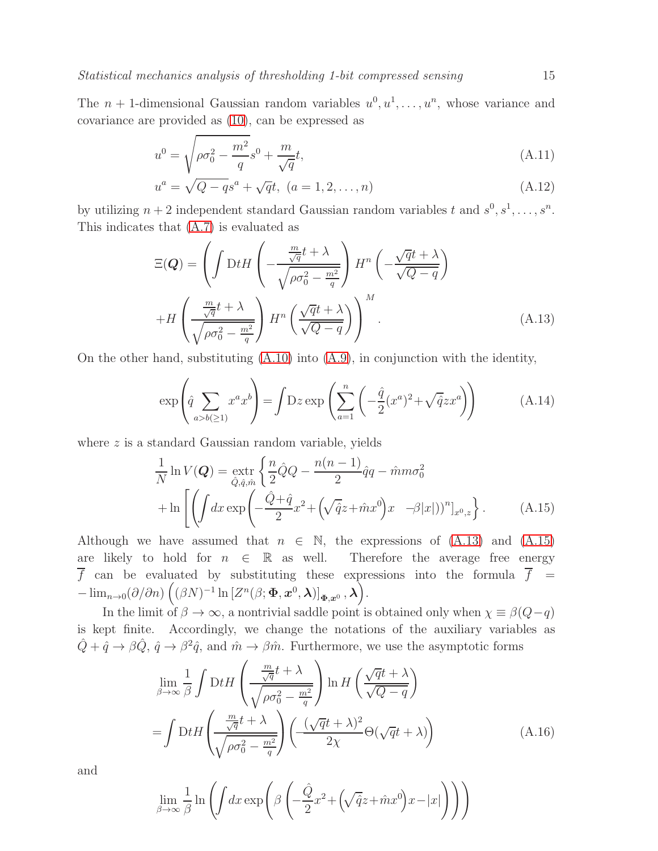The  $n+1$ -dimensional Gaussian random variables  $u^0, u^1, \ldots, u^n$ , whose variance and covariance are provided as [\(10\)](#page-4-0), can be expressed as

$$
u^{0} = \sqrt{\rho \sigma_{0}^{2} - \frac{m^{2}}{q}} s^{0} + \frac{m}{\sqrt{q}} t,
$$
\n(A.11)

$$
u^{a} = \sqrt{Q - q}s^{a} + \sqrt{q}t, \ (a = 1, 2, ..., n)
$$
\n(A.12)

by utilizing  $n+2$  independent standard Gaussian random variables t and  $s^0, s^1, \ldots, s^n$ . This indicates that [\(A.7\)](#page-13-0) is evaluated as

<span id="page-14-0"></span>
$$
\Xi(\mathbf{Q}) = \left( \int \mathrm{D}t H \left( -\frac{\frac{m}{\sqrt{q}} t + \lambda}{\sqrt{\rho \sigma_0^2 - \frac{m^2}{q}}} \right) H^n \left( -\frac{\sqrt{q} t + \lambda}{\sqrt{Q} - q} \right) + H \left( \frac{\frac{m}{\sqrt{q}} t + \lambda}{\sqrt{\rho \sigma_0^2 - \frac{m^2}{q}}} \right) H^n \left( \frac{\sqrt{q} t + \lambda}{\sqrt{Q} - q} \right) \right)^M.
$$
\n(A.13)

On the other hand, substituting  $(A.10)$  into  $(A.9)$ , in conjunction with the identity,

$$
\exp\left(\hat{q}\sum_{a>b(\geq 1)}x^ax^b\right) = \int Dz \exp\left(\sum_{a=1}^n\left(-\frac{\hat{q}}{2}(x^a)^2 + \sqrt{\hat{q}}zx^a\right)\right) \tag{A.14}
$$

where  $z$  is a standard Gaussian random variable, yields

<span id="page-14-1"></span>
$$
\frac{1}{N}\ln V(\boldsymbol{Q}) = \underset{\hat{Q},\hat{q},\hat{m}}{\text{extr}} \left\{ \frac{n}{2}\hat{Q}Q - \frac{n(n-1)}{2}\hat{q}q - \hat{m}m\sigma_0^2 \right\}
$$
\n
$$
+ \ln \left[ \left( \int dx \exp\left( -\frac{\hat{Q} + \hat{q}}{2}x^2 + \left( \sqrt{\hat{q}}z + \hat{m}x^0 \right)x - \beta |x| \right) \right)^n \right]_{x^0, z} \right\}. \tag{A.15}
$$

Although we have assumed that  $n \in \mathbb{N}$ , the expressions of [\(A.13\)](#page-14-0) and [\(A.15\)](#page-14-1) are likely to hold for  $n \in \mathbb{R}$  as well. Therefore the average free energy  $\overline{f}$  can be evaluated by substituting these expressions into the formula  $\overline{f}$  =  $-\lim_{n\to 0}(\partial/\partial n)\left((\beta N)^{-1}\ln\left[Z^n(\beta;\boldsymbol{\Phi},\boldsymbol{x}^0,\boldsymbol{\lambda})\right]_{\boldsymbol{\Phi},\boldsymbol{x}^0},\boldsymbol{\lambda}\right)\!.$ 

In the limit of  $\beta \to \infty$ , a nontrivial saddle point is obtained only when  $\chi \equiv \beta(Q-q)$ is kept finite. Accordingly, we change the notations of the auxiliary variables as  $\hat{Q} + \hat{q} \to \beta \hat{Q}, \hat{q} \to \beta^2 \hat{q}$ , and  $\hat{m} \to \beta \hat{m}$ . Furthermore, we use the asymptotic forms

$$
\lim_{\beta \to \infty} \frac{1}{\beta} \int \mathrm{D}t H \left( \frac{\frac{m}{\sqrt{q}} t + \lambda}{\sqrt{\rho \sigma_0^2 - \frac{m^2}{q}}} \right) \ln H \left( \frac{\sqrt{q} t + \lambda}{\sqrt{Q - q}} \right)
$$
\n
$$
= \int \mathrm{D}t H \left( \frac{\frac{m}{\sqrt{q}} t + \lambda}{\sqrt{\rho \sigma_0^2 - \frac{m^2}{q}}} \right) \left( \frac{(\sqrt{q} t + \lambda)^2}{2\chi} \Theta(\sqrt{q} t + \lambda) \right) \tag{A.16}
$$

and

$$
\lim_{\beta \to \infty} \frac{1}{\beta} \ln \left( \int dx \exp \left( \beta \left( -\frac{\hat{Q}}{2} x^2 + \left( \sqrt{\hat{q}} z + \hat{m} x^0 \right) x - |x| \right) \right) \right)
$$